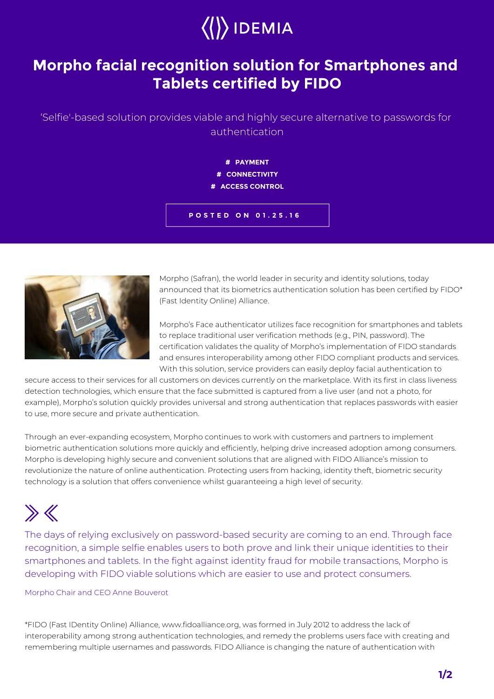## $\langle\langle\rangle\rangle$  IDEMIA

## **Morpho facial recognition solution for Smartphones and Tablets certified by FIDO**

'Selfie'-based solution provides viable and highly secure alternative to passwords for authentication

> **# PAYMENT # CONNECTIVITY # ACCESS CONTROL**

**POSTED ON 01.25.16**



Morpho (Safran), the world leader in security and identity solutions, today announced that its biometrics authentication solution has been certified by FIDO\* (Fast Identity Online) Alliance.

Morpho's Face authenticator utilizes face recognition for smartphones and tablets to replace traditional user verification methods (e.g., PIN, password). The certification validates the quality of Morpho's implementation of FIDO standards and ensures interoperability among other FIDO compliant products and services. With this solution, service providers can easily deploy facial authentication to

secure access to their services for all customers on devices currently on the marketplace. With its first in class liveness detection technologies, which ensure that the face submitted is captured from a live user (and not a photo, for example), Morpho's solution quickly provides universal and strong authentication that replaces passwords with easier to use, more secure and private authentication.

Through an ever-expanding ecosystem, Morpho continues to work with customers and partners to implement biometric authentication solutions more quickly and efficiently, helping drive increased adoption among consumers. Morpho is developing highly secure and convenient solutions that are aligned with FIDO Alliance's mission to revolutionize the nature of online authentication. Protecting users from hacking, identity theft, biometric security technology is a solution that offers convenience whilst guaranteeing a high level of security.

## $\gg K$

The days of relying exclusively on password-based security are coming to an end. Through face recognition, a simple selfie enables users to both prove and link their unique identities to their smartphones and tablets. In the fight against identity fraud for mobile transactions, Morpho is developing with FIDO viable solutions which are easier to use and protect consumers.

## Morpho Chair and CEO Anne Bouverot

\*FIDO (Fast IDentity Online) Alliance, www.fidoalliance.org, was formed in July 2012 to address the lack of interoperability among strong authentication technologies, and remedy the problems users face with creating and remembering multiple usernames and passwords. FIDO Alliance is changing the nature of authentication with